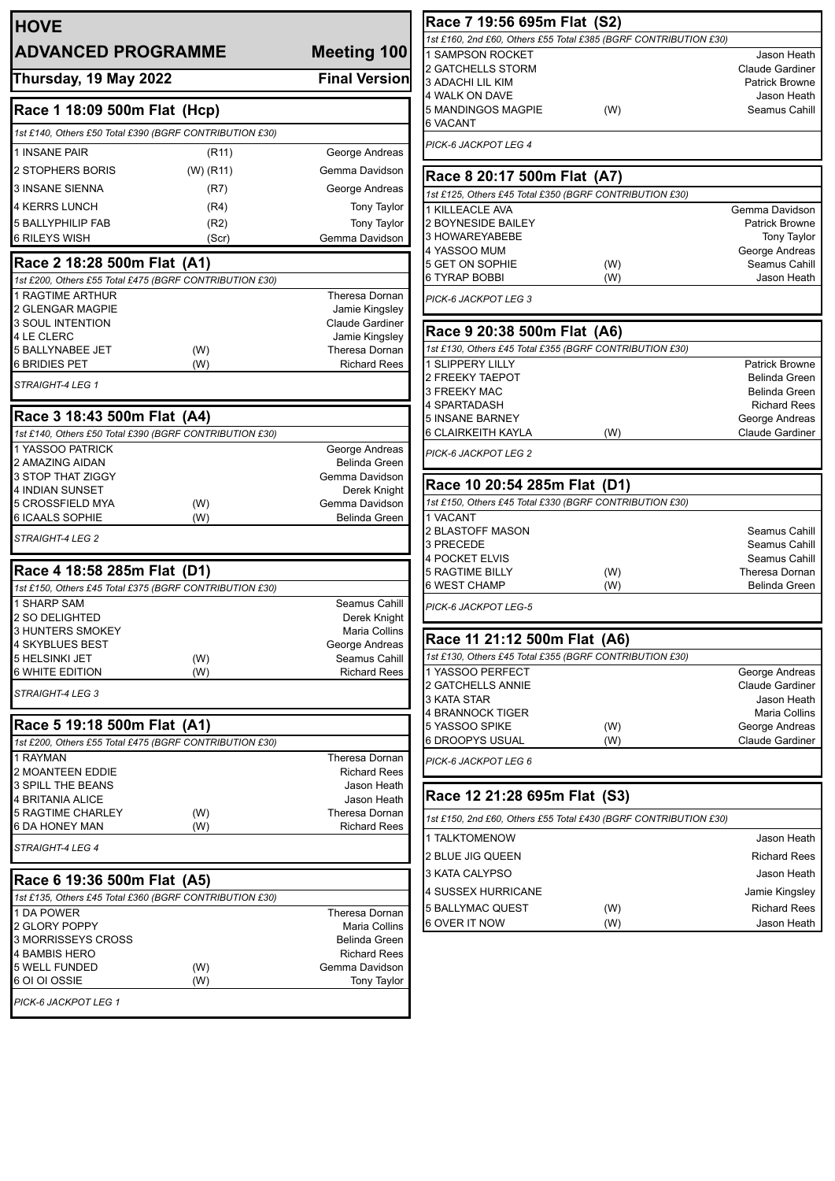| <b>HOVE</b>                                             |                                    | Race 7 19:56 695m Flat (S2)                                      |     |                                       |
|---------------------------------------------------------|------------------------------------|------------------------------------------------------------------|-----|---------------------------------------|
| <b>ADVANCED PROGRAMME</b>                               | Meeting 100                        | 1st £160, 2nd £60, Others £55 Total £385 (BGRF CONTRIBUTION £30) |     |                                       |
|                                                         |                                    | 1 SAMPSON ROCKET<br>2 GATCHELLS STORM                            |     | Jason Heath<br><b>Claude Gardiner</b> |
| Thursday, 19 May 2022                                   | <b>Final Version</b>               | 3 ADACHI LIL KIM                                                 |     | <b>Patrick Browne</b>                 |
|                                                         |                                    | 4 WALK ON DAVE                                                   |     | Jason Heath                           |
| Race 1 18:09 500m Flat (Hcp)                            |                                    | 5 MANDINGOS MAGPIE<br><b>6 VACANT</b>                            | (W) | Seamus Cahill                         |
| 1st £140, Others £50 Total £390 (BGRF CONTRIBUTION £30) |                                    |                                                                  |     |                                       |
| 1 INSANE PAIR<br>(R11)                                  | George Andreas                     | PICK-6 JACKPOT LEG 4                                             |     |                                       |
| 2 STOPHERS BORIS<br>$(W)$ (R11)                         | Gemma Davidson                     | Race 8 20:17 500m Flat (A7)                                      |     |                                       |
| <b>3 INSANE SIENNA</b><br>(R7)                          | George Andreas                     | 1st £125, Others £45 Total £350 (BGRF CONTRIBUTION £30)          |     |                                       |
| <b>4 KERRS LUNCH</b><br>(R4)                            | <b>Tony Taylor</b>                 | 1 KILLEACLE AVA                                                  |     | Gemma Davidson                        |
| 5 BALLYPHILIP FAB<br>(R2)                               | <b>Tony Taylor</b>                 | 2 BOYNESIDE BAILEY                                               |     | <b>Patrick Browne</b>                 |
| <b>6 RILEYS WISH</b><br>(Scr)                           | Gemma Davidson                     | 3 HOWAREYABEBE                                                   |     | Tony Taylor                           |
| Race 2 18:28 500m Flat (A1)                             |                                    | 4 YASSOO MUM<br>5 GET ON SOPHIE                                  | (W) | George Andreas<br>Seamus Cahill       |
| 1st £200, Others £55 Total £475 (BGRF CONTRIBUTION £30) |                                    | 6 TYRAP BOBBI                                                    | (W) | Jason Heath                           |
| 1 RAGTIME ARTHUR                                        | Theresa Dornan                     | PICK-6 JACKPOT LEG 3                                             |     |                                       |
| 2 GLENGAR MAGPIE                                        | Jamie Kingsley                     |                                                                  |     |                                       |
| <b>3 SOUL INTENTION</b>                                 | Claude Gardiner                    | Race 9 20:38 500m Flat (A6)                                      |     |                                       |
| 4 LE CLERC<br>5 BALLYNABEE JET<br>(W)                   | Jamie Kingsley<br>Theresa Dornan   | 1st £130, Others £45 Total £355 (BGRF CONTRIBUTION £30)          |     |                                       |
| <b>6 BRIDIES PET</b><br>(W)                             | <b>Richard Rees</b>                | <b>1 SLIPPERY LILLY</b>                                          |     | <b>Patrick Browne</b>                 |
| STRAIGHT-4 LEG 1                                        |                                    | 2 FREEKY TAEPOT                                                  |     | Belinda Green                         |
|                                                         |                                    | 3 FREEKY MAC<br><b>4 SPARTADASH</b>                              |     | Belinda Green                         |
| Race 3 18:43 500m Flat (A4)                             |                                    | <b>5 INSANE BARNEY</b>                                           |     | <b>Richard Rees</b><br>George Andreas |
| 1st £140, Others £50 Total £390 (BGRF CONTRIBUTION £30) |                                    | <b>6 CLAIRKEITH KAYLA</b>                                        | (W) | <b>Claude Gardiner</b>                |
| 1 YASSOO PATRICK                                        | George Andreas                     | PICK-6 JACKPOT LEG 2                                             |     |                                       |
| 2 AMAZING AIDAN                                         | Belinda Green                      |                                                                  |     |                                       |
| 3 STOP THAT ZIGGY<br>4 INDIAN SUNSET                    | Gemma Davidson<br>Derek Knight     | Race 10 20:54 285m Flat (D1)                                     |     |                                       |
| 5 CROSSFIELD MYA<br>(W)                                 | Gemma Davidson                     | 1st £150, Others £45 Total £330 (BGRF CONTRIBUTION £30)          |     |                                       |
| 6 ICAALS SOPHIE<br>(W)                                  | Belinda Green                      | 1 VACANT                                                         |     |                                       |
| STRAIGHT-4 LEG 2                                        |                                    | <b>2 BLASTOFF MASON</b>                                          |     | Seamus Cahill                         |
|                                                         |                                    | 3 PRECEDE<br>4 POCKET ELVIS                                      |     | Seamus Cahill<br>Seamus Cahill        |
| Race 4 18:58 285m Flat (D1)                             |                                    | <b>5 RAGTIME BILLY</b>                                           | (W) | Theresa Dornan                        |
| 1st £150, Others £45 Total £375 (BGRF CONTRIBUTION £30) |                                    | 6 WEST CHAMP                                                     | (W) | Belinda Green                         |
| 1 SHARP SAM                                             | Seamus Cahill                      | PICK-6 JACKPOT LEG-5                                             |     |                                       |
| 2 SO DELIGHTED<br>3 HUNTERS SMOKEY                      | Derek Knight<br>Maria Collins      |                                                                  |     |                                       |
| 4 SKYBLUES BEST                                         | George Andreas                     | Race 11 21:12 500m Flat (A6)                                     |     |                                       |
| 5 HELSINKI JET<br>(W)                                   | Seamus Cahill                      | 1st £130, Others £45 Total £355 (BGRF CONTRIBUTION £30)          |     |                                       |
| 6 WHITE EDITION<br>(W)                                  | <b>Richard Rees</b>                | 1 YASSOO PERFECT                                                 |     | George Andreas                        |
| STRAIGHT-4 LEG 3                                        |                                    | 2 GATCHELLS ANNIE<br>3 KATA STAR                                 |     | Claude Gardiner<br>Jason Heath        |
|                                                         |                                    | 4 BRANNOCK TIGER                                                 |     | Maria Collins                         |
| Race 5 19:18 500m Flat (A1)                             |                                    | 5 YASSOO SPIKE                                                   | (W) | George Andreas                        |
| 1st £200, Others £55 Total £475 (BGRF CONTRIBUTION £30) |                                    | 6 DROOPYS USUAL                                                  | (W) | <b>Claude Gardiner</b>                |
| 1 RAYMAN                                                | Theresa Dornan                     | PICK-6 JACKPOT LEG 6                                             |     |                                       |
| 2 MOANTEEN EDDIE<br>3 SPILL THE BEANS                   | <b>Richard Rees</b><br>Jason Heath |                                                                  |     |                                       |
| 4 BRITANIA ALICE                                        | Jason Heath                        | Race 12 21:28 695m Flat (S3)                                     |     |                                       |
| 5 RAGTIME CHARLEY<br>(W)                                | Theresa Dornan                     | 1st £150, 2nd £60, Others £55 Total £430 (BGRF CONTRIBUTION £30) |     |                                       |
| 6 DA HONEY MAN<br>(W)                                   | <b>Richard Rees</b>                | 1 TALKTOMENOW                                                    |     | Jason Heath                           |
| STRAIGHT-4 LEG 4                                        |                                    | 2 BLUE JIG QUEEN                                                 |     | <b>Richard Rees</b>                   |
|                                                         |                                    | 3 KATA CALYPSO                                                   |     | Jason Heath                           |
| Race 6 19:36 500m Flat (A5)                             |                                    | 4 SUSSEX HURRICANE                                               |     | Jamie Kingsley                        |
| 1st £135, Others £45 Total £360 (BGRF CONTRIBUTION £30) |                                    | <b>5 BALLYMAC QUEST</b>                                          | (W) | <b>Richard Rees</b>                   |
| 1 DA POWER<br>2 GLORY POPPY                             | Theresa Dornan<br>Maria Collins    | 6 OVER IT NOW                                                    | (W) | Jason Heath                           |
| 3 MORRISSEYS CROSS                                      | Belinda Green                      |                                                                  |     |                                       |
| <b>4 BAMBIS HERO</b>                                    | <b>Richard Rees</b>                |                                                                  |     |                                       |
| 5 WELL FUNDED<br>(W)                                    | Gemma Davidson                     |                                                                  |     |                                       |
| 6 OI OI OSSIE<br>(W)                                    | Tony Taylor                        |                                                                  |     |                                       |
|                                                         |                                    |                                                                  |     |                                       |